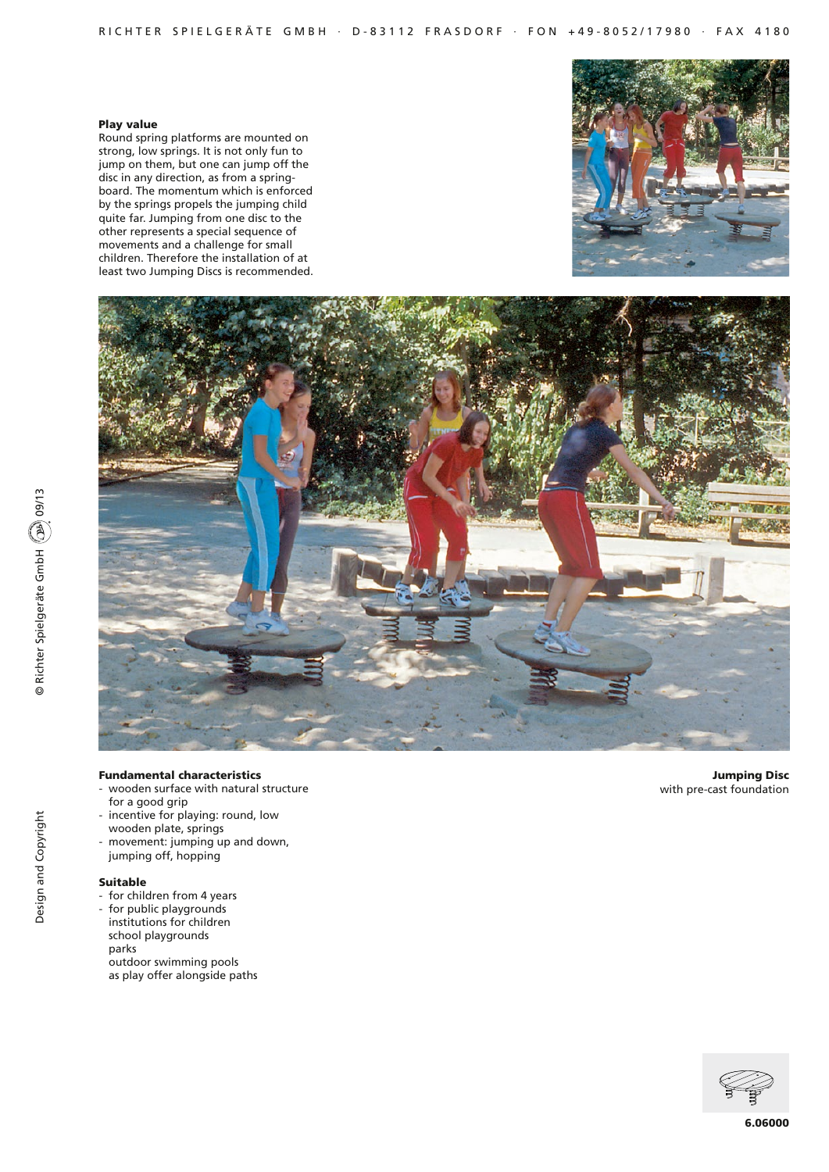#### Play value

Round spring platforms are mounted on strong, low springs. It is not only fun to jump on them, but one can jump off the disc in any direction, as from a springboard. The momentum which is enforced by the springs propels the jumping child quite far. Jumping from one disc to the other represents a special sequence of movements and a challenge for small children. Therefore the installation of at least two Jumping Discs is recommended.





# Fundamental characteristics

- wooden surface with natural structure for a good grip
- incentive for playing: round, low wooden plate, springs
- movement: jumping up and down, jumping off, hopping

## Suitable

- for children from 4 years
- for public playgrounds institutions for children school playgrounds parks outdoor swimming pools as play offer alongside paths

Jumping Disc with pre-cast foundation

![](_page_0_Picture_13.jpeg)